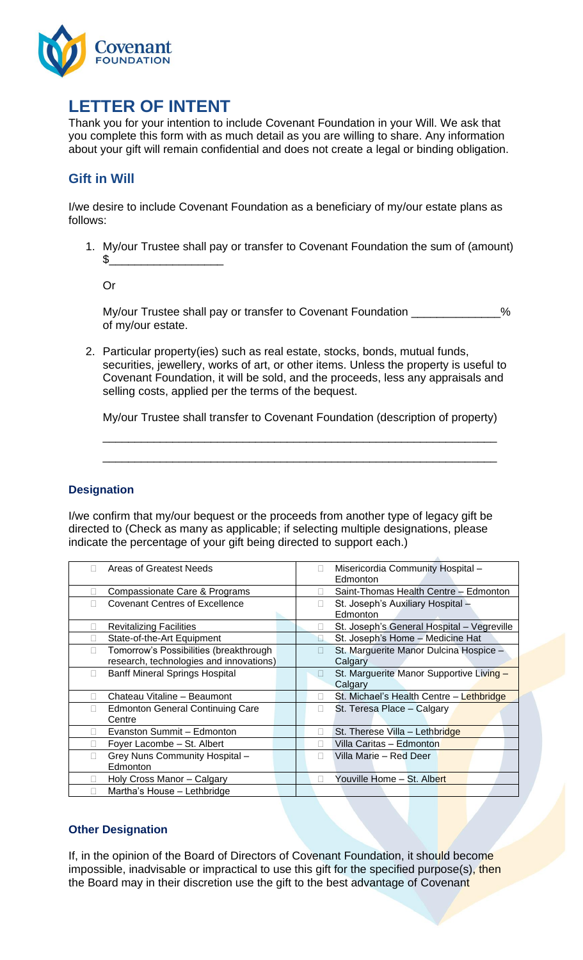

# **LETTER OF INTENT**

Thank you for your intention to include Covenant Foundation in your Will. We ask that you complete this form with as much detail as you are willing to share. Any information about your gift will remain confidential and does not create a legal or binding obligation.

# **Gift in Will**

I/we desire to include Covenant Foundation as a beneficiary of my/our estate plans as follows:

1. My/our Trustee shall pay or transfer to Covenant Foundation the sum of (amount) \$\_\_\_\_\_\_\_\_\_\_\_\_\_\_\_\_\_\_

Or

My/our Trustee shall pay or transfer to Covenant Foundation  $\%$ of my/our estate.

2. Particular property(ies) such as real estate, stocks, bonds, mutual funds, securities, jewellery, works of art, or other items. Unless the property is useful to Covenant Foundation, it will be sold, and the proceeds, less any appraisals and selling costs, applied per the terms of the bequest.

My/our Trustee shall transfer to Covenant Foundation (description of property)

\_\_\_\_\_\_\_\_\_\_\_\_\_\_\_\_\_\_\_\_\_\_\_\_\_\_\_\_\_\_\_\_\_\_\_\_\_\_\_\_\_\_\_\_\_\_\_\_\_\_\_\_\_\_\_\_\_\_\_\_\_\_

\_\_\_\_\_\_\_\_\_\_\_\_\_\_\_\_\_\_\_\_\_\_\_\_\_\_\_\_\_\_\_\_\_\_\_\_\_\_\_\_\_\_\_\_\_\_\_\_\_\_\_\_\_\_\_\_\_\_\_\_\_\_

### **Designation**

I/we confirm that my/our bequest or the proceeds from another type of legacy gift be directed to (Check as many as applicable; if selecting multiple designations, please indicate the percentage of your gift being directed to support each.)

| Misericordia Community Hospital-<br>$\mathbf{L}$<br>Edmonton  |
|---------------------------------------------------------------|
| Saint-Thomas Health Centre - Edmonton                         |
| St. Joseph's Auxiliary Hospital -<br>$\mathbf{L}$<br>Edmonton |
| St. Joseph's General Hospital - Vegreville<br>$\mathbf{L}$    |
| St. Joseph's Home - Medicine Hat                              |
| St. Marguerite Manor Dulcina Hospice -<br>Calgary             |
| St. Marguerite Manor Supportive Living -<br>Ш<br>Calgary      |
| St. Michael's Health Centre - Lethbridge                      |
| St. Teresa Place - Calgary                                    |
| St. Therese Villa - Lethbridge                                |
| Villa Caritas - Edmonton                                      |
| Villa Marie – Red Deer<br>$\mathbf{L}$                        |
| Youville Home - St. Albert                                    |
|                                                               |
|                                                               |

### **Other Designation**

If, in the opinion of the Board of Directors of Covenant Foundation, it should become impossible, inadvisable or impractical to use this gift for the specified purpose(s), then the Board may in their discretion use the gift to the best advantage of Covenant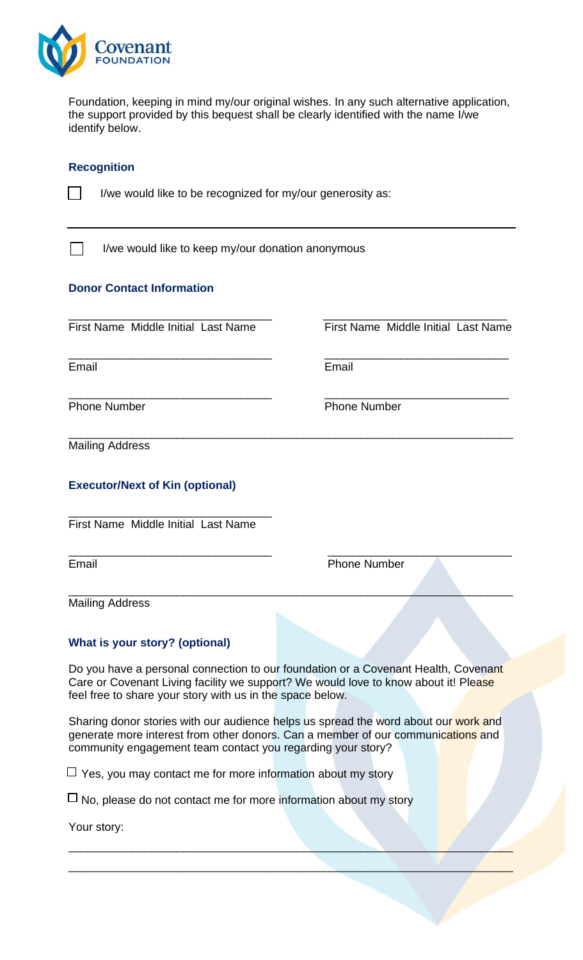

Foundation, keeping in mind my/our original wishes. In any such alternative application, the support provided by this bequest shall be clearly identified with the name I/we identify below.

\_\_\_\_\_\_\_\_\_\_\_\_\_\_\_\_\_\_\_\_\_\_\_\_\_\_\_\_\_\_\_\_ \_\_\_\_\_\_\_\_\_\_\_\_\_\_\_\_\_\_\_\_\_\_\_\_\_\_\_\_\_

#### **Recognition**

|  | I/we would like to be recognized for my/our generosity as: |  |  |  |
|--|------------------------------------------------------------|--|--|--|
|  |                                                            |  |  |  |

I/we would like to keep my/our donation anonymous

### **Donor Contact Information**

\_\_\_\_\_\_\_\_\_\_\_\_\_\_\_\_\_\_\_\_\_\_\_\_\_\_\_\_\_\_\_\_ \_\_\_\_\_\_\_\_\_\_\_\_\_\_\_\_\_\_\_\_\_\_\_\_\_\_\_\_\_ First Name Middle Initial Last Name First Name Middle Initial Last Name

Email Email

 $\Box$ 

Phone Number Phone Number

\_\_\_\_\_\_\_\_\_\_\_\_\_\_\_\_\_\_\_\_\_\_\_\_\_\_\_\_\_\_\_\_ \_\_\_\_\_\_\_\_\_\_\_\_\_\_\_\_\_\_\_\_\_\_\_\_\_\_\_\_\_

\_\_\_\_\_\_\_\_\_\_\_\_\_\_\_\_\_\_\_\_\_\_\_\_\_\_\_\_\_\_\_\_\_\_\_\_\_\_\_\_\_\_\_\_\_\_\_\_\_\_\_\_\_\_\_\_\_\_\_\_\_\_\_\_\_\_\_\_\_\_ Mailing Address

### **Executor/Next of Kin (optional)**

\_\_\_\_\_\_\_\_\_\_\_\_\_\_\_\_\_\_\_\_\_\_\_\_\_\_\_\_\_\_\_\_ First Name Middle Initial Last Name

Email **Email** Phone Number

Mailing Address

#### **What is your story? (optional)**

Do you have a personal connection to our foundation or a Covenant Health, Covenant Care or Covenant Living facility we support? We would love to know about it! Please feel free to share your story with us in the space below.

\_\_\_\_\_\_\_\_\_\_\_\_\_\_\_\_\_\_\_\_\_\_\_\_\_\_\_\_\_\_\_\_ \_\_\_\_\_\_\_\_\_\_\_\_\_\_\_\_\_\_\_\_\_\_\_\_\_\_\_\_\_

\_\_\_\_\_\_\_\_\_\_\_\_\_\_\_\_\_\_\_\_\_\_\_\_\_\_\_\_\_\_\_\_\_\_\_\_\_\_\_\_\_\_\_\_\_\_\_\_\_\_\_\_\_\_\_\_\_\_\_\_\_\_\_\_\_\_\_\_\_\_

Sharing donor stories with our audience helps us spread the word about our work and generate more interest from other donors. Can a member of our communications and community engagement team contact you regarding your story?

\_\_\_\_\_\_\_\_\_\_\_\_\_\_\_\_\_\_\_\_\_\_\_\_\_\_\_\_\_\_\_\_\_\_\_\_\_\_\_\_\_\_\_\_\_\_\_\_\_\_\_\_\_\_\_\_\_\_\_\_\_\_\_\_\_\_\_\_\_\_

\_\_\_\_\_\_\_\_\_\_\_\_\_\_\_\_\_\_\_\_\_\_\_\_\_\_\_\_\_\_\_\_\_\_\_\_\_\_\_\_\_\_\_\_\_\_\_\_\_\_\_\_\_\_\_\_\_\_\_\_\_\_\_\_\_\_\_\_\_\_

 $\Box$  Yes, you may contact me for more information about my story

 $\sqcup$  No, please do not contact me for more information about my story

Your story: